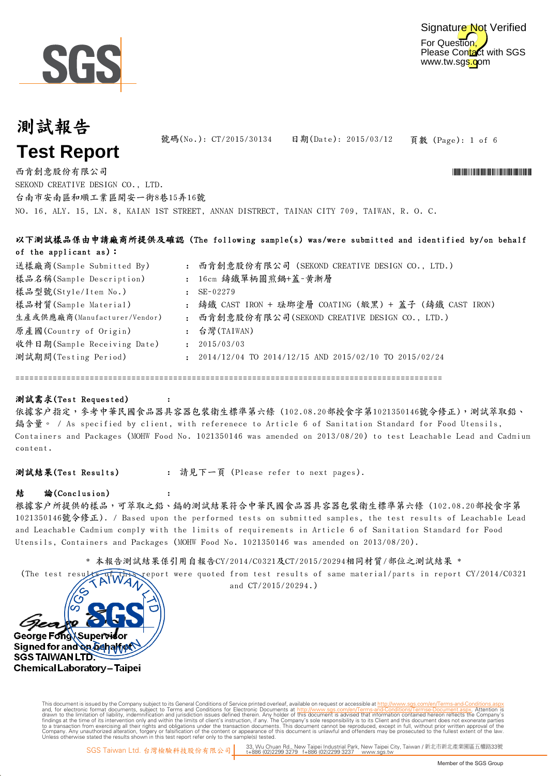



頁數 (Page): 1 of 6 號碼(No.): CT/2015/30134 日期(Date): 2015/03/12

NO. 16, ALY. 15, LN. 8, KAIAN 1ST STREET, ANNAN DISTRECT, TAINAN CITY 709, TAIWAN, R. O. C. 西肯創意股份有限公司 \*CT/2015/30134\* SEKOND CREATIVE DESIGN CO., LTD. 台南市安南區和順工業區開安一街8巷15弄16號

|                              |              | 以下測試樣品係由申請廠商所提供及確認(The following sample(s) was/were submitted and identified by/on behalf |
|------------------------------|--------------|-------------------------------------------------------------------------------------------|
| of the applicant as):        |              |                                                                                           |
| 送樣廠商(Sample Submitted By)    |              | : 西肯創意股份有限公司 (SEKOND CREATIVE DESIGN CO., LTD.)                                           |
| 樣品名稱(Sample Description)     |              | : 16cm 鑄鐵單柄圓煎鍋+蓋-黃漸層                                                                      |
| 樣品型號(Style/Item No.)         |              | $SE-02279$                                                                                |
| 樣品材質(Sample Material)        |              | : 鑄鐵 CAST IRON + 琺瑯塗層 COATING (緞黑) + 蓋子 (鑄鐵 CAST IRON)                                    |
| 生產或供應廠商(Manufacturer/Vendor) |              | : 西肯創意股份有限公司(SEKOND CREATIVE DESIGN CO., LTD.)                                            |
| 原產國(Country of Origin)       |              | : 台灣(TAIWAN)                                                                              |
| 收件日期(Sample Receiving Date)  | $\mathbf{r}$ | 2015/03/03                                                                                |
| 測試期間(Testing Period)         |              | $\div$ 2014/12/04 TO 2014/12/15 AND 2015/02/10 TO 2015/02/24                              |
|                              |              |                                                                                           |

============================================================================================

#### 測試需求(Test Requested)

依據客戶指定,參考中華民國食品器具容器包裝衛生標準第六條 (102.08.20部授食字第1021350146號令修正),測試萃取鉛、 鎘含量。 / As specified by client, with referenece to Article 6 of Sanitation Standard for Food Utensils, Containers and Packages (MOHW Food No. 1021350146 was amended on 2013/08/20) to test Leachable Lead and Cadmium content.

測試結果(Test Results) : 請見下一頁 (Please refer to next pages).

:

:

#### 結 論(Conclusion)

根據客戶所提供的樣品,可萃取之鉛、鎘的測試結果符合中華民國食品器具容器包裝衛生標準第六條 (102.08.20部授食字第 1021350146號令修正). / Based upon the performed tests on submitted samples, the test results of Leachable Lead and Leachable Cadmium comply with the limits of requirements in Article 6 of Sanitation Standard for Food Utensils, Containers and Packages (MOHW Food No. 1021350146 was amended on 2013/08/20).

\* 本報告測試結果係引用自報告CY/2014/C0321及CT/2015/20294相同材質/部位之測試結果 \*

(The test results of this report were quoted from test results of same material/parts in report CY/2014/C0321 and CT/2015/20294.)



Digitally signed by www.wmholetech. This document is issued by the Company subject to its General Conditions of Service printed overleaf, available on request or accessible at http://www.sqs.com/en/Terms-and-Co and, for electronic format documents, subject to Terms and Conditions for Electronic Documents at http://www.sgs.com/en/Terms-and-Conditions/Terms-Document aspx. Attention is drawn to the limitation of lability, indemnific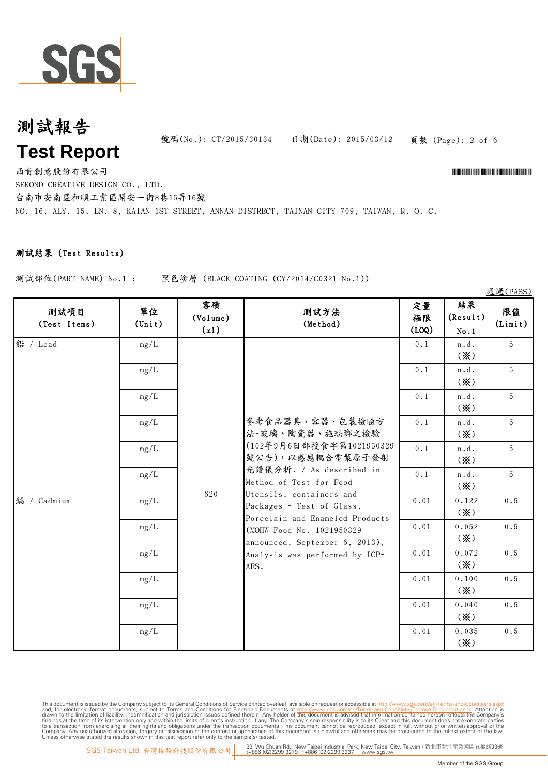

號碼(No.): CT/2015/30134 日期(Date): 2015/03/12

頁數 (Page): 2 of 6

通過(PASS)

西肯創意股份有限公司 \*CT/2015/30134\* SEKOND CREATIVE DESIGN CO., LTD. 台南市安南區和順工業區開安一街8巷15弄16號

NO. 16, ALY. 15, LN. 8, KAIAN 1ST STREET, ANNAN DISTRECT, TAINAN CITY 709, TAIWAN, R. O. C.

### 測試結果 (Test Results)

測試部位(PART NAME) No.1 : 黑色塗層 (BLACK COATING (CY/2014/C0321 No.1))

No.1  $0.1$  |  $n.d.$ (※) 5  $0.1$  |  $n.d.$ (※) 5 0.1 | n.d. (※) 5  $0.1$   $n.d.$ (※) 5  $0.1 \quad | \quad n.d. \quad | \quad 5$ 鉛 / Lead 定量 極限 (LOQ) 測試方法 (Method) mg/L 參考食品器具、容器、包裝檢驗方 法-玻璃、陶瓷器、施琺瑯之檢驗 (102年9月6日部授食字第1021950329 mg/L mg/L 結果 (Result) 測試項目 (Test Items) mg/L 容積 (Volume) (ml) 單位 (Unit) mg/L 限值 (Limit) (※)  $0.1$   $n.d.$ (※) 5 0.01 0.122 (※) 0.5 0.052 (※) 0.5 0.072 (※) 0.5 0.01 0.100 (※) 0.5 0.040 (※) 0.5 0.035 (※) 0.5 鎘 / Cadmium 620 號公告),以感應耦合電漿原子發射 光譜儀分析. / As described in Method of Test for Food Utensils, containers and Packages - Test of Glass, Porcelain and Enameled Products (MOHW Food No. 1021950329 announced, September 6, 2013), Analysis was performed by ICP-AES. mg/L mg/L mg/L mg/L mg/L mg/L mg/L

This document is issued by the Company subject to its General Conditions of Service printed overleaf, available on request or accessible at http://www.sqs.com/en/Terms-and-Con and, for electronic format documents, subject to Terms and Conditions for Electronic Documents at http://www.sgs.com/en/Terms-and-Conditions/Terms-Document aspx. Attention is drawn to the limitation of lability, indemnific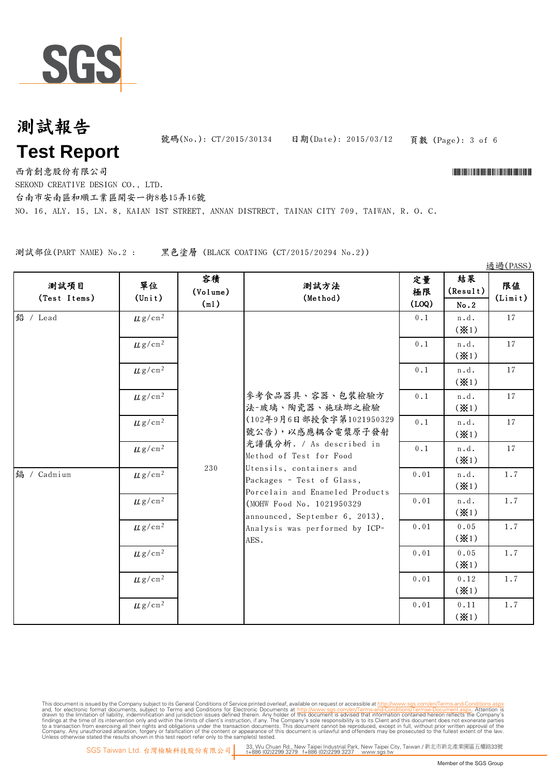

號碼(No.): CT/2015/30134 日期(Date): 2015/03/12

頁數 (Page): 3 of 6

西肯創意股份有限公司 \*CT/2015/30134\*

SEKOND CREATIVE DESIGN CO., LTD.

台南市安南區和順工業區開安一街8巷15弄16號

NO. 16, ALY. 15, LN. 8, KAIAN 1ST STREET, ANNAN DISTRECT, TAINAN CITY 709, TAIWAN, R. O. C.

測試部位(PART NAME) No.2 : 黑色塗層 (BLACK COATING (CT/2015/20294 No.2))

No.2 0.1 | n.d. (※1) 17 0.1 | n.d. (※1) 17  $0.1$  |  $n.d.$ (※1) 17  $0.1$  |  $n.d.$ (※1) 17  $0.1 \quad \text{ln.d.}$  $(* 1)$ 17  $0.1 \quad \text{ln.d.} \quad 17$ 參考食品器具、容器、包裝檢驗方 法-玻璃、陶瓷器、施琺瑯之檢驗 (102年9月6日部授食字第1021950329 號公告),以感應耦合雷漿原子發射 光譜儀分析. / As described in 鉛 / Lead 測試項目 (Test Items)  $\mu$ g/cm<sup>2</sup>  $\mu$ g/cm<sup>2</sup>  $\mu$  g/cm²  $\mu$ g/cm<sup>2</sup>  $\mu$  g/cm<sup>2</sup>  $\mu$ g/cm<sup>2</sup> 單位  $(T + \mu)$  (Volume) (ml) 客積 ┃ ………… 定量 ┃ 結果 (Result) 限值 (Limit) 定量 極限 (LOQ) 通過(PASS) 測試方法 (Method)  $(* 1)$  $0.01$   $n.d.$ (※1) 1.7  $0.01$   $\ln d$ . (※1) 1.7 0.01 0.05 (※1) 1.7 0.01 0.05 (※1) 1.7 0.01 0.12 (※1) 1.7 0.01 0.11 (※1) 1.7 230 Method of Test for Food Utensils, containers and Packages - Test of Glass, Porcelain and Enameled Products (MOHW Food No. 1021950329 announced, September 6, 2013), Analysis was performed by ICP-AES. 鎘 / Cadmium  $\mu$  g/cm<sup>2</sup>  $\mu$ g/cm<sup>2</sup>  $\mu$  g/cm<sup>2</sup>  $\mu$  g/cm<sup>2</sup>  $\mu$ g/cm<sup>2</sup>  $\mu$ g/cm<sup>2</sup>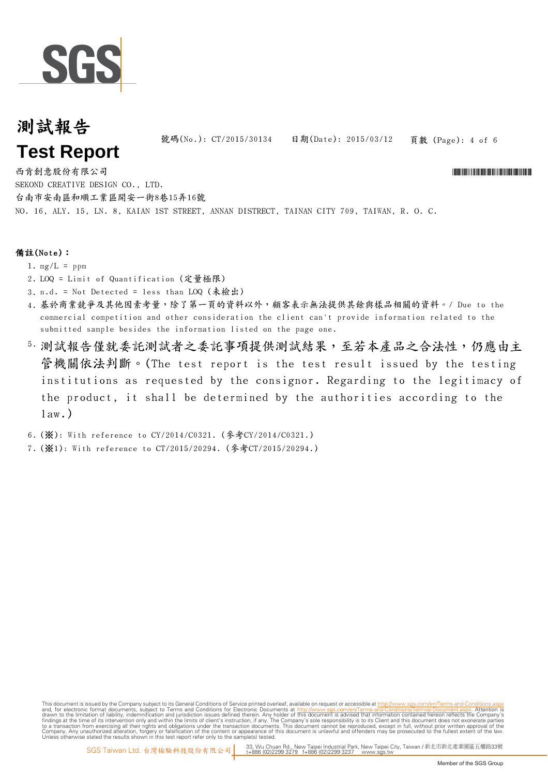

號碼(No.): CT/2015/30134 日期(Date): 2015/03/12

頁數 (Page): 4 of 6

NO. 16, ALY. 15, LN. 8, KAIAN 1ST STREET, ANNAN DISTRECT, TAINAN CITY 709, TAIWAN, R. O. C. 西肯創意股份有限公司 \*CT/2015/30134\* SEKOND CREATIVE DESIGN CO., LTD. 台南市安南區和順工業區開安一街8巷15弄16號

### 備註(Note):

- 1.  $mg/L = ppm$
- 2. LOQ = Limit of Quantification (定量極限)
- 3. n.d. = Not Detected = less than LOQ (未檢出)
- 4. 基於商業競爭及其他因素考量,除了第一頁的資料以外,顧客表示無法提供其餘與樣品相關的資料。/ Due to the commercial competition and other consideration the client can't provide information related to the submitted sample besides the information listed on the page one.
- 5. 測試報告僅就委託測試事項提供測試結果,至若本產品之合法性,仍應由主 管機關依法判斷。(The test report is the test result issued by the testing institutions as requested by the consignor. Regarding to the legitimacy of the product, it shall be determined by the authorities according to the  $law.)$

6. (※): With reference to CY/2014/C0321. (參考CY/2014/C0321.)

7. (※1): With reference to CT/2015/20294. (參考CT/2015/20294.)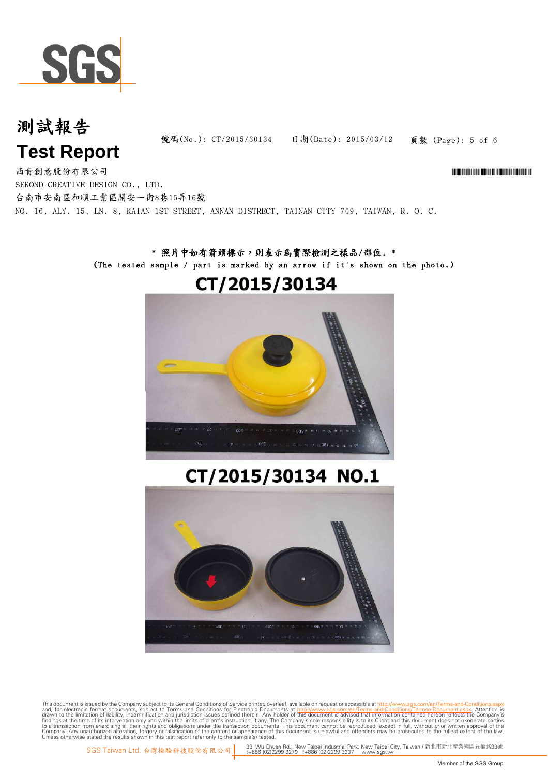

# 測試報告

頁數 (Page): 5 of 6 號碼(No.): CT/2015/30134 日期(Date): 2015/03/12

# **Test Report**

NO. 16, ALY. 15, LN. 8, KAIAN 1ST STREET, ANNAN DISTRECT, TAINAN CITY 709, TAIWAN, R. O. C. 西肯創意股份有限公司 \*CT/2015/30134\* SEKOND CREATIVE DESIGN CO., LTD. 台南市安南區和順工業區開安一街8巷15弄16號

### \* 照片中如有箭頭標示,則表示為實際檢測之樣品/部位. \* (The tested sample / part is marked by an arrow if it's shown on the photo.)

# CT/2015/30134



# CT/2015/30134 NO.1